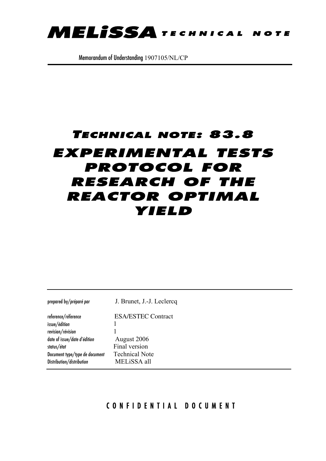

Memorandum of Understanding 1907105/NL/CP

# TECHNICAL NOTE: 83.8 **EXPERIMENTAL TESTS PROTOCOL FOR RESEARCH OF THE REACTOR OPTIMAL** YIELD

| prepared by/préparé par        | J. Brunet, J.-J. Leclercq |
|--------------------------------|---------------------------|
| reference/réference            | <b>ESA/ESTEC Contract</b> |
| issue/édition                  |                           |
| revision/révision              |                           |
| date of issue/date d'édition   | August 2006               |
| status/état                    | Final version             |
| Document type/type de document | <b>Technical Note</b>     |
| Distribution/distribution      | MELISSA all               |

## CONFIDENTIAL DOCUMENT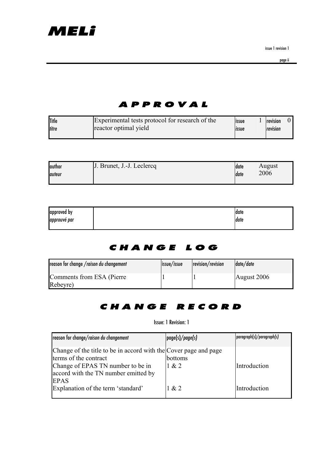issue 1 revision 1

## APPROVAL

| <b>Title</b> | Experimental tests protocol for research of the | <b>lissue</b> | revision |  |
|--------------|-------------------------------------------------|---------------|----------|--|
| titre        | reactor optimal yield                           | <b>Issue</b>  | revision |  |
|              |                                                 |               |          |  |

| <b>author</b> | J. Brunet, J.-J. Leclercq | Idate | August |
|---------------|---------------------------|-------|--------|
| lauteur       |                           | Idate | 2006   |
|               |                           |       |        |

| approved by  | date  |
|--------------|-------|
| approuvé par | ldate |
|              |       |

## CHANGE LOG

| reason for change /raison du changement | issue/issue | revision/revision | date/date   |
|-----------------------------------------|-------------|-------------------|-------------|
| Comments from ESA (Pierre)<br>Rebeyre)  |             |                   | August 2006 |

## CHANGE RECORD

### Issue: 1 Revision: 1

| reason for change/raison du changement                                                                                         | page(s)/page(s)  | paragraph(s)/paragraph(s) |
|--------------------------------------------------------------------------------------------------------------------------------|------------------|---------------------------|
| Change of the title to be in accord with the Cover page and page<br>terms of the contract<br>Change of EPAS TN number to be in | bottoms<br>1 & 2 | Introduction              |
| accord with the TN number emitted by<br><b>EPAS</b><br>Explanation of the term 'standard'                                      | 1 & 2            | Introduction              |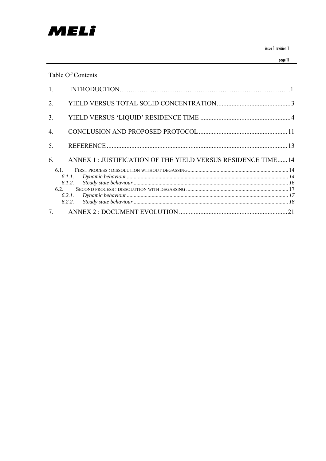

issue 1 revision 1

page iii

### Table Of Contents

| $7_{\scriptscriptstyle{\sim}}$ |                                                              |  |
|--------------------------------|--------------------------------------------------------------|--|
|                                | 6.2.1.<br>6.2.2.                                             |  |
| 6.2.                           |                                                              |  |
|                                | 6.1.2.                                                       |  |
|                                | 6.1.1.                                                       |  |
| 61                             |                                                              |  |
| 6.                             | ANNEX 1: JUSTIFICATION OF THE YIELD VERSUS RESIDENCE TIME 14 |  |
| 5.                             |                                                              |  |
|                                |                                                              |  |
| $\overline{4}$ .               |                                                              |  |
| 3 <sub>1</sub>                 |                                                              |  |
| $\overline{2}$ .               |                                                              |  |
| 1 <sub>1</sub>                 |                                                              |  |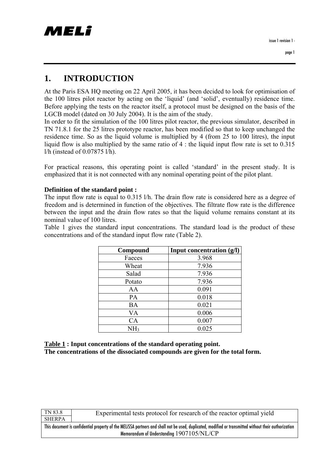## **1. INTRODUCTION**

At the Paris ESA HQ meeting on 22 April 2005, it has been decided to look for optimisation of the 100 litres pilot reactor by acting on the 'liquid' (and 'solid', eventually) residence time. Before applying the tests on the reactor itself, a protocol must be designed on the basis of the LGCB model (dated on 30 July 2004). It is the aim of the study.

In order to fit the simulation of the 100 litres pilot reactor, the previous simulator, described in TN 71.8.1 for the 25 litres prototype reactor, has been modified so that to keep unchanged the residence time. So as the liquid volume is multiplied by 4 (from 25 to 100 litres), the input liquid flow is also multiplied by the same ratio of 4 : the liquid input flow rate is set to 0.315 l/h (instead of 0.07875 l/h).

For practical reasons, this operating point is called 'standard' in the present study. It is emphasized that it is not connected with any nominal operating point of the pilot plant.

#### **Definition of the standard point :**

The input flow rate is equal to 0.315 l/h. The drain flow rate is considered here as a degree of freedom and is determined in function of the objectives. The filtrate flow rate is the difference between the input and the drain flow rates so that the liquid volume remains constant at its nominal value of 100 litres.

Table 1 gives the standard input concentrations. The standard load is the product of these concentrations and of the standard input flow rate (Table 2).

| Compound        | Input concentration $(g/l)$ |
|-----------------|-----------------------------|
| Faeces          | 3.968                       |
| Wheat           | 7.936                       |
| Salad           | 7.936                       |
| Potato          | 7.936                       |
| AA              | 0.091                       |
| PA              | 0.018                       |
| BA              | 0.021                       |
| VA              | 0.006                       |
| CA              | 0.007                       |
| NH <sub>3</sub> | 0.025                       |

**Table 1 : Input concentrations of the standard operating point. The concentrations of the dissociated compounds are given for the total form.** 

| Experimental tests protocol for research of the reactor optimal yield<br>SHERPA                                                                       |  |  |
|-------------------------------------------------------------------------------------------------------------------------------------------------------|--|--|
|                                                                                                                                                       |  |  |
| This document is confidential property of the MELISSA partners and shall not be used, duplicated, modified or transmitted without their authorization |  |  |
| Memorandum of Understanding 1907105/NL/CP                                                                                                             |  |  |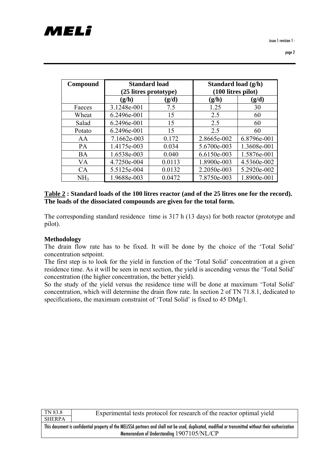| Compound        | <b>Standard load</b><br>(25 litres prototype) |        | Standard load (g/h)<br>$(100$ litres pilot) |             |
|-----------------|-----------------------------------------------|--------|---------------------------------------------|-------------|
|                 | (g/h)<br>(g/d)                                |        | (g/h)                                       | (g/d)       |
| Faeces          | 3.1248e-001                                   | 7.5    | 1.25                                        | 30          |
| Wheat           | 6.2496e-001                                   | 15     | 2.5                                         | 60          |
| Salad           | 6.2496e-001                                   | 15     | 2.5                                         | 60          |
| Potato          | 6.2496e-001                                   | 15     | 2.5                                         | 60          |
| AA              | 7.1662e-003                                   | 0.172  | 2.8665e-002                                 | 6.8796e-001 |
| <b>PA</b>       | 1.4175e-003                                   | 0.034  | 5.6700e-003                                 | 1.3608e-001 |
| <b>BA</b>       | 1.6538e-003                                   | 0.040  | 6.6150e-003                                 | 1.5876e-001 |
| VA.             | 4.7250e-004                                   | 0.0113 | 1.8900e-003                                 | 4.5360e-002 |
| CA              | 5.5125e-004                                   | 0.0132 | 2.2050e-003                                 | 5.2920e-002 |
| NH <sub>3</sub> | 1.9688e-003                                   | 0.0472 | 7.8750e-003                                 | 1.8900e-001 |

| Table 2 : Standard loads of the 100 litres reactor (and of the 25 litres one for the record). |
|-----------------------------------------------------------------------------------------------|
| The loads of the dissociated compounds are given for the total form.                          |

The corresponding standard residence time is 317 h (13 days) for both reactor (prototype and pilot).

#### **Methodology**

The drain flow rate has to be fixed. It will be done by the choice of the 'Total Solid' concentration setpoint.

The first step is to look for the yield in function of the 'Total Solid' concentration at a given residence time. As it will be seen in next section, the yield is ascending versus the 'Total Solid' concentration (the higher concentration, the better yield).

So the study of the yield versus the residence time will be done at maximum 'Total Solid' concentration, which will determine the drain flow rate. In section 2 of TN 71.8.1, dedicated to specifications, the maximum constraint of 'Total Solid' is fixed to 45 DMg/l.

| TN 83.8                                                                                                                                               | Experimental tests protocol for research of the reactor optimal yield |  |
|-------------------------------------------------------------------------------------------------------------------------------------------------------|-----------------------------------------------------------------------|--|
| <b>SHERPA</b>                                                                                                                                         |                                                                       |  |
| This document is confidential property of the MELISSA partners and shall not be used, duplicated, modified or transmitted without their authorization |                                                                       |  |
| Memorandum of Understanding 1907105/NL/CP                                                                                                             |                                                                       |  |
|                                                                                                                                                       |                                                                       |  |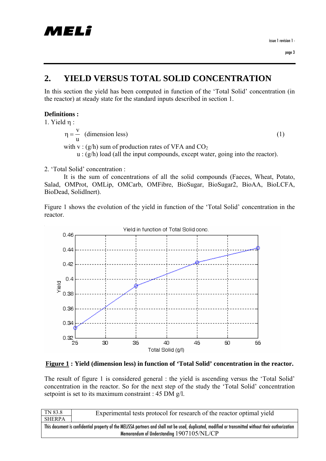## **2. YIELD VERSUS TOTAL SOLID CONCENTRATION**

In this section the yield has been computed in function of the 'Total Solid' concentration (in the reactor) at steady state for the standard inputs described in section 1.

### **Definitions :**

1. Yield η :

$$
\eta = \frac{v}{u}
$$
 (dimension less)  
with v: (g/h) sum of production rates of VFA and CO<sub>2</sub>  
with v: (g/h) lead (all the input compared to *system* points into the nearest

 $u : (g/h)$  load (all the input compounds, except water, going into the reactor).

2. 'Total Solid' concentration :

 It is the sum of concentrations of all the solid compounds (Faeces, Wheat, Potato, Salad, OMProt, OMLip, OMCarb, OMFibre, BioSugar, BioSugar2, BioAA, BioLCFA, BioDead, SolidInert).

Figure 1 shows the evolution of the yield in function of the 'Total Solid' concentration in the reactor.



#### **Figure 1 : Yield (dimension less) in function of 'Total Solid' concentration in the reactor.**

The result of figure 1 is considered general : the yield is ascending versus the 'Total Solid' concentration in the reactor. So for the next step of the study the 'Total Solid' concentration setpoint is set to its maximum constraint : 45 DM g/l.

| TN 83.8                                                                                                                                               | Experimental tests protocol for research of the reactor optimal yield |
|-------------------------------------------------------------------------------------------------------------------------------------------------------|-----------------------------------------------------------------------|
| <b>SHERPA</b>                                                                                                                                         |                                                                       |
| This document is confidential property of the MELISSA partners and shall not be used, duplicated, modified or transmitted without their authorization |                                                                       |
| Memorandum of Understanding 1907105/NL/CP                                                                                                             |                                                                       |
|                                                                                                                                                       |                                                                       |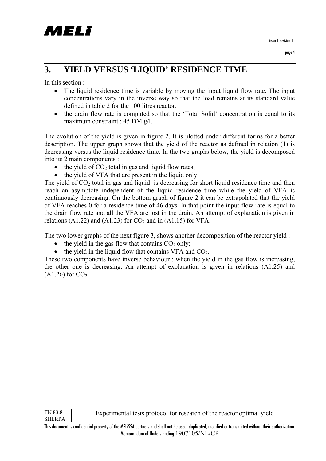page 4

## **3. YIELD VERSUS 'LIQUID' RESIDENCE TIME**

In this section :

- The liquid residence time is variable by moving the input liquid flow rate. The input concentrations vary in the inverse way so that the load remains at its standard value defined in table 2 for the 100 litres reactor.
- the drain flow rate is computed so that the 'Total Solid' concentration is equal to its maximum constraint : 45 DM g/l.

The evolution of the yield is given in figure 2. It is plotted under different forms for a better description. The upper graph shows that the yield of the reactor as defined in relation (1) is decreasing versus the liquid residence time. In the two graphs below, the yield is decomposed into its 2 main components :

- the yield of  $CO<sub>2</sub>$  total in gas and liquid flow rates;
- the yield of VFA that are present in the liquid only.

The yield of  $CO<sub>2</sub>$  total in gas and liquid is decreasing for short liquid residence time and then reach an asymptote independent of the liquid residence time while the yield of VFA is continuously decreasing. On the bottom graph of figure 2 it can be extrapolated that the yield of VFA reaches 0 for a residence time of 46 days. In that point the input flow rate is equal to the drain flow rate and all the VFA are lost in the drain. An attempt of explanation is given in relations (A1.22) and (A1.23) for  $CO<sub>2</sub>$  and in (A1.15) for VFA.

The two lower graphs of the next figure 3, shows another decomposition of the reactor yield :

- the yield in the gas flow that contains  $CO<sub>2</sub>$  only;
- the yield in the liquid flow that contains VFA and  $CO<sub>2</sub>$ .

These two components have inverse behaviour : when the yield in the gas flow is increasing, the other one is decreasing. An attempt of explanation is given in relations (A1.25) and  $(A1.26)$  for  $CO<sub>2</sub>$ .

| ٠,<br>r.<br>٠.<br>$\ddot{\phantom{1}}$<br>۰<br>г |
|--------------------------------------------------|

Experimental tests protocol for research of the reactor optimal yield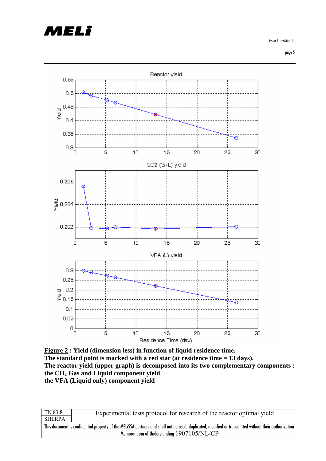# *AELI*

issue 1 revision 1 -

page 5



**Figure 2 : Yield (dimension less) in function of liquid residence time. The standard point is marked with a red star (at residence time = 13 days). The reactor yield (upper graph) is decomposed into its two complementary components : the CO2 Gas and Liquid component yield the VFA (Liquid only) component yield** 

| TN 83.8                                                                                                                                               | Experimental tests protocol for research of the reactor optimal yield |
|-------------------------------------------------------------------------------------------------------------------------------------------------------|-----------------------------------------------------------------------|
| <b>SHERPA</b>                                                                                                                                         |                                                                       |
| This document is confidential property of the MELISSA partners and shall not be used, duplicated, modified or transmitted without their authorization |                                                                       |
| Memorandum of Understanding 1907105/NL/CP                                                                                                             |                                                                       |
|                                                                                                                                                       |                                                                       |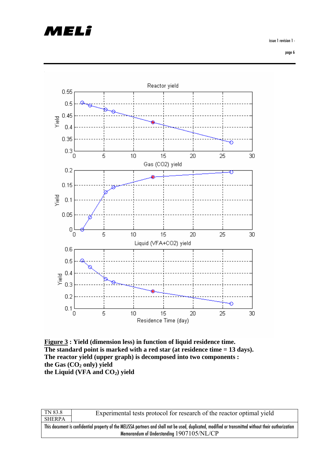# MELî

issue 1 revision 1 -

page 6



**Figure 3 : Yield (dimension less) in function of liquid residence time. The standard point is marked with a red star (at residence time = 13 days). The reactor yield (upper graph) is decomposed into two components :**  the Gas (CO<sub>2</sub> only) yield the Liquid (VFA and CO<sub>2</sub>) yield

| TN 83.8                                                                                                                                               | Experimental tests protocol for research of the reactor optimal yield |
|-------------------------------------------------------------------------------------------------------------------------------------------------------|-----------------------------------------------------------------------|
| <b>SHERPA</b>                                                                                                                                         |                                                                       |
| This document is confidential property of the MELISSA partners and shall not be used, duplicated, modified or transmitted without their authorization |                                                                       |
| Memorandum of Understanding 1907105/NL/CP                                                                                                             |                                                                       |
|                                                                                                                                                       |                                                                       |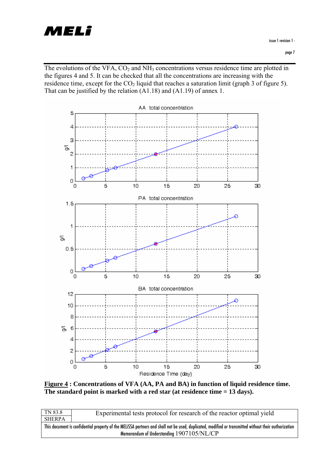

The evolutions of the VFA,  $CO<sub>2</sub>$  and NH<sub>3</sub> concentrations versus residence time are plotted in the figures 4 and 5. It can be checked that all the concentrations are increasing with the residence time, except for the  $CO<sub>2</sub>$  liquid that reaches a saturation limit (graph 3 of figure 5). That can be justified by the relation (A1.18) and (A1.19) of annex 1.



**Figure 4 : Concentrations of VFA (AA, PA and BA) in function of liquid residence time. The standard point is marked with a red star (at residence time = 13 days).** 

| TN 83.8                                                                                                                                               | Experimental tests protocol for research of the reactor optimal yield |
|-------------------------------------------------------------------------------------------------------------------------------------------------------|-----------------------------------------------------------------------|
| <b>SHERPA</b>                                                                                                                                         |                                                                       |
| This document is confidential property of the MELISSA partners and shall not be used, duplicated, modified or transmitted without their authorization |                                                                       |
| Memorandum of Understanding 1907105/NL/CP                                                                                                             |                                                                       |
|                                                                                                                                                       |                                                                       |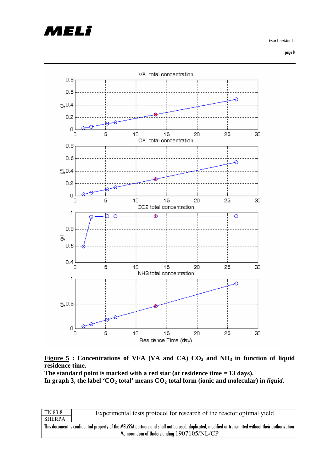# MELÎ

issue 1 revision 1 -

page 8





**The standard point is marked with a red star (at residence time = 13 days).**  In graph 3, the label 'CO<sub>2</sub> total' means CO<sub>2</sub> total form (ionic and molecular) in *liquid*.

| TN 83.8                                                                                                                                               | Experimental tests protocol for research of the reactor optimal yield |
|-------------------------------------------------------------------------------------------------------------------------------------------------------|-----------------------------------------------------------------------|
| <b>SHERPA</b>                                                                                                                                         |                                                                       |
| This document is confidential property of the MELISSA partners and shall not be used, duplicated, modified or transmitted without their authorization |                                                                       |
| Memorandum of Understanding 1907105/NL/CP                                                                                                             |                                                                       |
|                                                                                                                                                       |                                                                       |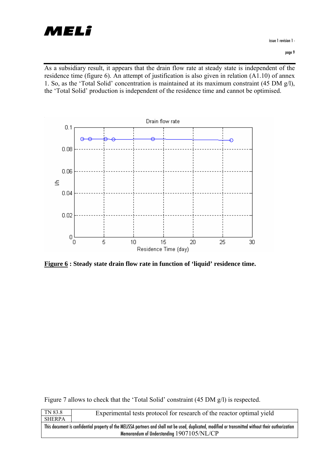

As a subsidiary result, it appears that the drain flow rate at steady state is independent of the residence time (figure 6). An attempt of justification is also given in relation (A1.10) of annex 1. So, as the 'Total Solid' concentration is maintained at its maximum constraint (45 DM g/l), the 'Total Solid' production is independent of the residence time and cannot be optimised.



**Figure 6 : Steady state drain flow rate in function of 'liquid' residence time.** 

Figure 7 allows to check that the 'Total Solid' constraint (45 DM g/l) is respected.

| TN 83.8                                                                                                                                               | Experimental tests protocol for research of the reactor optimal yield |
|-------------------------------------------------------------------------------------------------------------------------------------------------------|-----------------------------------------------------------------------|
| SHERPA                                                                                                                                                |                                                                       |
| This document is confidential property of the MELISSA partners and shall not be used, duplicated, modified or transmitted without their authorization |                                                                       |
| Memorandum of Understanding 1907105/NL/CP                                                                                                             |                                                                       |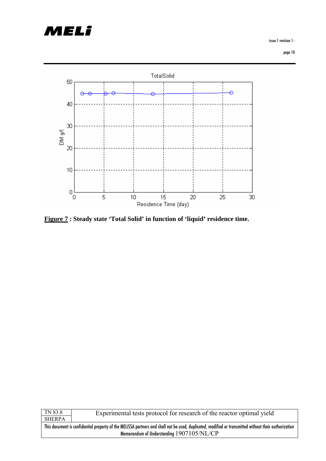

issue 1 revision 1 -



**Figure 7 : Steady state 'Total Solid' in function of 'liquid' residence time.** 

| TN 83.8                                                                                                                                               | Experimental tests protocol for research of the reactor optimal yield |
|-------------------------------------------------------------------------------------------------------------------------------------------------------|-----------------------------------------------------------------------|
| <b>SHERPA</b>                                                                                                                                         |                                                                       |
| This document is confidential property of the MELISSA partners and shall not be used, duplicated, modified or transmitted without their authorization |                                                                       |
| Memorandum of Understanding 1907105/NL/CP                                                                                                             |                                                                       |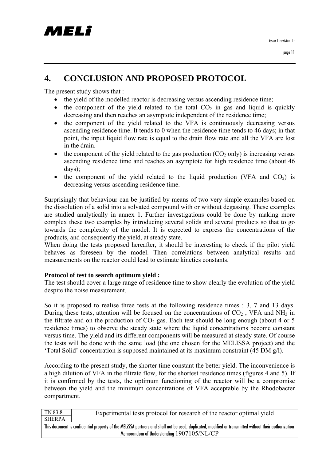## **4. CONCLUSION AND PROPOSED PROTOCOL**

The present study shows that :

- the vield of the modelled reactor is decreasing versus ascending residence time:
- the component of the yield related to the total  $CO<sub>2</sub>$  in gas and liquid is quickly decreasing and then reaches an asymptote independent of the residence time;
- the component of the yield related to the VFA is continuously decreasing versus ascending residence time. It tends to 0 when the residence time tends to 46 days; in that point, the input liquid flow rate is equal to the drain flow rate and all the VFA are lost in the drain.
- the component of the yield related to the gas production  $(CO_2)$  only) is increasing versus ascending residence time and reaches an asymptote for high residence time (about 46 days);
- the component of the yield related to the liquid production (VFA and  $CO<sub>2</sub>$ ) is decreasing versus ascending residence time.

Surprisingly that behaviour can be justified by means of two very simple examples based on the dissolution of a solid into a solvated compound with or without degassing. These examples are studied analytically in annex 1. Further investigations could be done by making more complex these two examples by introducing several solids and several products so that to go towards the complexity of the model. It is expected to express the concentrations of the products, and consequently the yield, at steady state.

When doing the tests proposed hereafter, it should be interesting to check if the pilot yield behaves as foreseen by the model. Then correlations between analytical results and measurements on the reactor could lead to estimate kinetics constants.

### **Protocol of test to search optimum yield :**

The test should cover a large range of residence time to show clearly the evolution of the yield despite the noise measurement.

So it is proposed to realise three tests at the following residence times : 3, 7 and 13 days. During these tests, attention will be focused on the concentrations of  $CO<sub>2</sub>$ , VFA and NH<sub>3</sub> in the filtrate and on the production of  $CO<sub>2</sub>$  gas. Each test should be long enough (about 4 or 5 residence times) to observe the steady state where the liquid concentrations become constant versus time. The yield and its different components will be measured at steady state. Of course the tests will be done with the same load (the one chosen for the MELISSA project) and the 'Total Solid' concentration is supposed maintained at its maximum constraint (45 DM g/l).

According to the present study, the shorter time constant the better yield. The inconvenience is a high dilution of VFA in the filtrate flow, for the shortest residence times (figures 4 and 5). If it is confirmed by the tests, the optimum functioning of the reactor will be a compromise between the yield and the minimum concentrations of VFA acceptable by the Rhodobacter compartment.

| TN 83.8                                                                                                                                               | Experimental tests protocol for research of the reactor optimal yield |
|-------------------------------------------------------------------------------------------------------------------------------------------------------|-----------------------------------------------------------------------|
| <b>SHERPA</b>                                                                                                                                         |                                                                       |
| This document is confidential property of the MELISSA partners and shall not be used, duplicated, modified or transmitted without their authorization |                                                                       |
| Memorandum of Understanding 1907105/NL/CP                                                                                                             |                                                                       |
|                                                                                                                                                       |                                                                       |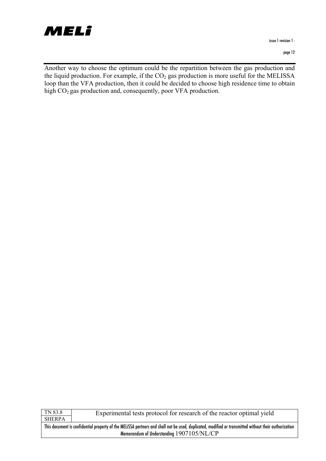

issue 1 revision 1 -

| ĸ.<br>ь<br>H<br>٠ |
|-------------------|

Experimental tests protocol for research of the reactor optimal yield

Another way to choose the optimum could be the repartition between the gas production and the liquid production. For example, if the  $CO<sub>2</sub>$  gas production is more useful for the MELISSA loop than the VFA production, then it could be decided to choose high residence time to obtain high CO<sub>2</sub> gas production and, consequently, poor VFA production.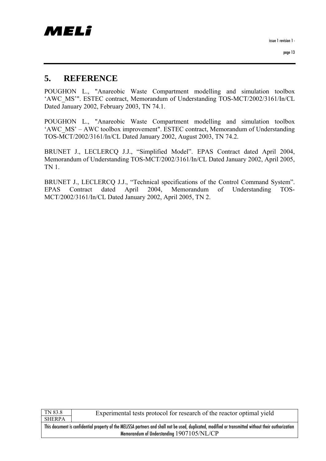issue 1 revision 1 -

page 13

## **5. REFERENCE**

POUGHON L., "Anareobic Waste Compartment modelling and simulation toolbox 'AWC\_MS'". ESTEC contract, Memorandum of Understanding TOS-MCT/2002/3161/In/CL Dated January 2002, February 2003, TN 74.1.

POUGHON L., "Anareobic Waste Compartment modelling and simulation toolbox 'AWC\_MS' – AWC toolbox improvement". ESTEC contract, Memorandum of Understanding TOS-MCT/2002/3161/In/CL Dated January 2002, August 2003, TN 74.2.

BRUNET J., LECLERCQ J.J., "Simplified Model". EPAS Contract dated April 2004, Memorandum of Understanding TOS-MCT/2002/3161/In/CL Dated January 2002, April 2005, TN 1.

BRUNET J., LECLERCQ J.J., "Technical specifications of the Control Command System". EPAS Contract dated April 2004, Memorandum of Understanding TOS-MCT/2002/3161/In/CL Dated January 2002, April 2005, TN 2.

TN 83.8 SHERPA

Experimental tests protocol for research of the reactor optimal yield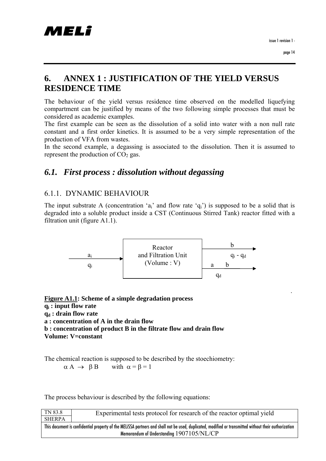.

## **6. ANNEX 1 : JUSTIFICATION OF THE YIELD VERSUS RESIDENCE TIME**

The behaviour of the yield versus residence time observed on the modelled liquefying compartment can be justified by means of the two following simple processes that must be considered as academic examples.

The first example can be seen as the dissolution of a solid into water with a non null rate constant and a first order kinetics. It is assumed to be a very simple representation of the production of VFA from wastes.

In the second example, a degassing is associated to the dissolution. Then it is assumed to represent the production of  $CO<sub>2</sub>$  gas.

## *6.1. First process : dissolution without degassing*

### 6.1.1. DYNAMIC BEHAVIOUR

The input substrate A (concentration 'a<sub>i</sub>' and flow rate 'q<sub>i</sub>') is supposed to be a solid that is degraded into a soluble product inside a CST (Continuous Stirred Tank) reactor fitted with a filtration unit (figure A1.1).



**Figure A1.1: Scheme of a simple degradation process qi : input flow rate q**<sub>d</sub> : drain flow rate **a : concentration of A in the drain flow b : concentration of product B in the filtrate flow and drain flow Volume: V=constant** 

The chemical reaction is supposed to be described by the stoechiometry:  $\alpha A \rightarrow \beta B$  with  $\alpha = \beta = 1$ 

The process behaviour is described by the following equations:

| TN 83.8                                                                                                                                               | Experimental tests protocol for research of the reactor optimal yield |
|-------------------------------------------------------------------------------------------------------------------------------------------------------|-----------------------------------------------------------------------|
| <b>SHERPA</b>                                                                                                                                         |                                                                       |
| This document is confidential property of the MELISSA partners and shall not be used, duplicated, modified or transmitted without their authorization |                                                                       |
| Memorandum of Understanding 1907105/NL/CP                                                                                                             |                                                                       |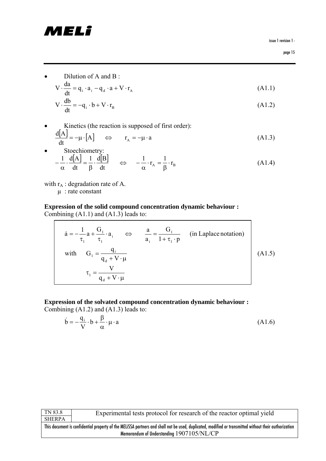# MELî

issue 1 revision 1 -

page 15

• Dilution of A and B:

$$
V \cdot \frac{da}{dt} = q_i \cdot a_i - q_d \cdot a + V \cdot r_A
$$
 (A1.1)

$$
V \cdot \frac{db}{dt} = -q_i \cdot b + V \cdot r_B \tag{A1.2}
$$

• Kinetics (the reaction is supposed of first order):  $\left[\begin{matrix} A \end{matrix}\right]$  =  $-\mu \cdot \left[A\right]$   $\Leftrightarrow$   $r_A = -\mu \cdot a$  $\frac{d[A]}{dt} = -\mu \cdot [A] \quad \Leftrightarrow \quad r_A = -\mu \cdot a$ (A1.3)

• Stoechionetry:  
\n
$$
-\frac{1}{\alpha} \cdot \frac{d[A]}{dt} = \frac{1}{\beta} \cdot \frac{d[B]}{dt} \qquad \Longleftrightarrow \qquad -\frac{1}{\alpha} \cdot r_A = \frac{1}{\beta} \cdot r_B \tag{A1.4}
$$

with  $r_A$ : degradation rate of A.

µ : rate constant

### **Expression of the solid compound concentration dynamic behaviour :**  Combining (A1.1) and (A1.3) leads to:

$$
\dot{a} = -\frac{1}{\tau_1} a + \frac{G_1}{\tau_1} \cdot a_i \qquad \Leftrightarrow \qquad \frac{a}{a_i} = \frac{G_1}{1 + \tau_1 \cdot p} \qquad \text{(in Laplace notation)}
$$
\n
$$
\text{with} \qquad G_1 = \frac{q_i}{q_d + V \cdot \mu}
$$
\n
$$
\tau_1 = \frac{V}{q_d + V \cdot \mu} \tag{A1.5}
$$

#### **Expression of the solvated compound concentration dynamic behaviour :**  Combining (A1.2) and (A1.3) leads to:

$$
\dot{\mathbf{b}} = -\frac{\mathbf{q}_i}{V} \cdot \mathbf{b} + \frac{\beta}{\alpha} \cdot \mathbf{\mu} \cdot \mathbf{a}
$$
 (A1.6)

| TN 83.8                                                                                                                                               | Experimental tests protocol for research of the reactor optimal yield |
|-------------------------------------------------------------------------------------------------------------------------------------------------------|-----------------------------------------------------------------------|
| <b>SHERPA</b>                                                                                                                                         |                                                                       |
| This document is confidential property of the MELISSA partners and shall not be used, duplicated, modified or transmitted without their authorization |                                                                       |
| Memorandum of Understanding 1907105/NL/CP                                                                                                             |                                                                       |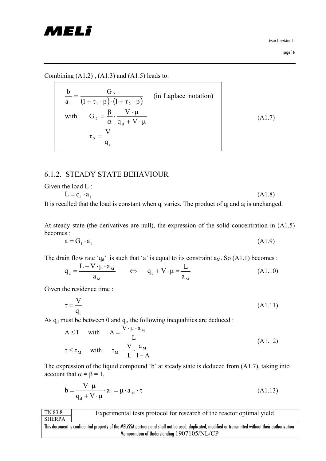# MELî

issue 1 revision 1 -

page 16

Combining  $(A1.2)$ ,  $(A1.3)$  and  $(A1.5)$  leads to:

| b<br>$\overline{1+\tau_1\cdot p}\cdot(1+\tau_2\cdot p)$<br>$a_i$                 | (in Laplace notation) |        |
|----------------------------------------------------------------------------------|-----------------------|--------|
| $G_2 = \frac{\beta}{\alpha} \cdot \frac{V \cdot \mu}{q_d + V \cdot \mu}$<br>with |                       | (A1.7) |
|                                                                                  |                       |        |

┑

### 6.1.2. STEADY STATE BEHAVIOUR

Given the load L :

 $L = q_i \cdot a_i$  (A1.8)

It is recalled that the load is constant when  $q_i$  varies. The product of  $q_i$  and  $a_i$  is unchanged.

At steady state (the derivatives are null), the expression of the solid concentration in (A1.5) becomes :

$$
a = G_1 \cdot a_i \tag{A1.9}
$$

The drain flow rate ' $q_d$ ' is such that 'a' is equal to its constraint  $a_M$ . So (A1.1) becomes :

$$
q_{d} = \frac{L - V \cdot \mu \cdot a_{M}}{a_{M}} \qquad \Leftrightarrow \qquad q_{d} + V \cdot \mu = \frac{L}{a_{M}}
$$
 (A1.10)

Given the residence time :

$$
\tau = \frac{V}{q_i} \tag{A1.11}
$$

As  $q_d$  must be between 0 and  $q_i$ , the following inequalities are deduced :

$$
A \le 1 \quad \text{with} \quad A = \frac{V \cdot \mu \cdot a_M}{L}
$$
\n
$$
\tau \le \tau_M \quad \text{with} \quad \tau_M = \frac{V}{L} \cdot \frac{a_M}{1 - A}
$$
\n
$$
(A1.12)
$$

The expression of the liquid compound 'b' at steady state is deduced from (A1.7), taking into account that  $\alpha = \beta = 1$ ,

$$
b = \frac{V \cdot \mu}{q_d + V \cdot \mu} \cdot a_i = \mu \cdot a_M \cdot \tau
$$
 (A1.13)

| TN 83.8                                                                                                                                               | Experimental tests protocol for research of the reactor optimal yield |  |
|-------------------------------------------------------------------------------------------------------------------------------------------------------|-----------------------------------------------------------------------|--|
| <b>SHERPA</b>                                                                                                                                         |                                                                       |  |
| This document is confidential property of the MELISSA partners and shall not be used, duplicated, modified or transmitted without their authorization |                                                                       |  |
| Memorandum of Understanding 1907105/NL/CP                                                                                                             |                                                                       |  |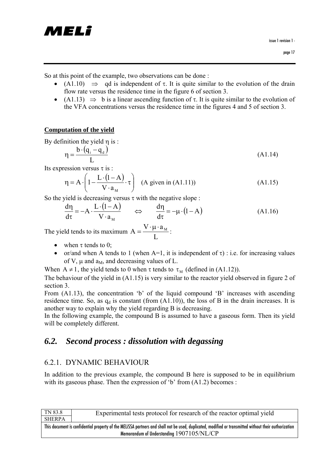

So at this point of the example, two observations can be done :

- (A1.10)  $\Rightarrow$  qd is independent of  $\tau$ . It is quite similar to the evolution of the drain flow rate versus the residence time in the figure 6 of section 3.
- (A1.13)  $\Rightarrow$  b is a linear ascending function of  $\tau$ . It is quite similar to the evolution of the VFA concentrations versus the residence time in the figures 4 and 5 of section 3.

#### **Computation of the yield**

By definition the yield η is :

$$
\eta = \frac{b \cdot (q_i - q_d)}{L} \tag{A1.14}
$$

Its expression versus  $\tau$  is :

$$
\eta = A \cdot \left( 1 - \frac{L \cdot (1 - A)}{V \cdot a_M} \cdot \tau \right) \quad (A \text{ given in (A1.11)})
$$
(A1.15)

So the yield is decreasing versus  $\tau$  with the negative slope :

$$
\frac{d\eta}{d\tau} = -A \cdot \frac{L \cdot (1 - A)}{V \cdot a_M} \qquad \Leftrightarrow \qquad \frac{d\eta}{d\tau} = -\mu \cdot (1 - A) \tag{A1.16}
$$

The yield tends to its maximum  $A = \frac{V}{L}$  $A = \frac{V \cdot \mu \cdot a_{M}}{I}$ :

- when  $\tau$  tends to 0;
- or/and when A tends to 1 (when  $A=1$ , it is independent of  $\tau$ ) : i.e. for increasing values of V,  $\mu$  and a<sub>M</sub>, and decreasing values of L.

When  $A \neq 1$ , the yield tends to 0 when  $\tau$  tends to  $\tau_M$  (defined in (A1.12)).

The behaviour of the yield in (A1.15) is very similar to the reactor yield observed in figure 2 of section 3.

From (A1.13), the concentration 'b' of the liquid compound 'B' increases with ascending residence time. So, as  $q_d$  is constant (from  $(A1.10)$ ), the loss of B in the drain increases. It is another way to explain why the yield regarding B is decreasing.

In the following example, the compound B is assumed to have a gaseous form. Then its yield will be completely different.

## *6.2. Second process : dissolution with degassing*

### 6.2.1. DYNAMIC BEHAVIOUR

In addition to the previous example, the compound B here is supposed to be in equilibrium with its gaseous phase. Then the expression of  $b'$  from  $(A1.2)$  becomes :

| TN 83.8                                                                                                                                               | Experimental tests protocol for research of the reactor optimal yield |  |
|-------------------------------------------------------------------------------------------------------------------------------------------------------|-----------------------------------------------------------------------|--|
| SHERPA                                                                                                                                                |                                                                       |  |
| This document is confidential property of the MELISSA partners and shall not be used, duplicated, modified or transmitted without their authorization |                                                                       |  |
| Memorandum of Understanding 1907105/NL/CP                                                                                                             |                                                                       |  |
|                                                                                                                                                       |                                                                       |  |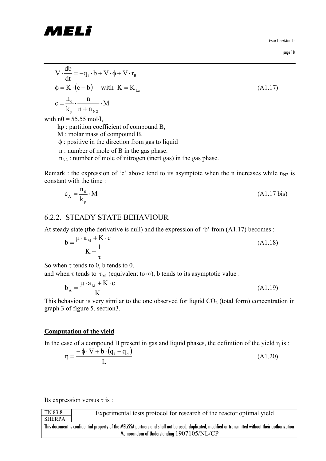

issue 1 revision 1 -

page 18

$$
V \cdot \frac{db}{dt} = -q_i \cdot b + V \cdot \phi + V \cdot r_B
$$
  
\n
$$
\phi = K \cdot (c - b) \quad \text{with } K = K_{La}
$$
  
\n
$$
c = \frac{n_0}{k_p} \cdot \frac{n}{n + n_{N2}} \cdot M
$$
  
\nwith  $n0 = 55.55$  mol/l,

kp : partition coefficient of compound B,

M : molar mass of compound B.

φ : positive in the direction from gas to liquid

n : number of mole of B in the gas phase.

 $n_{N2}$ : number of mole of nitrogen (inert gas) in the gas phase.

Remark : the expression of 'c' above tend to its asymptote when the n increases while  $n_{N2}$  is constant with the time :

$$
c_A = \frac{n_0}{k_p} \cdot M \tag{A1.17 bis}
$$

### 6.2.2. STEADY STATE BEHAVIOUR

At steady state (the derivative is null) and the expression of 'b' from (A1.17) becomes :

$$
b = \frac{\mu \cdot a_M + K \cdot c}{K + \frac{1}{\tau}}
$$
 (A1.18)

So when  $\tau$  tends to 0, b tends to 0,

and when τ tends to  $\tau_M$  (equivalent to  $\infty$ ), b tends to its asymptotic value :

$$
b_{A} = \frac{\mu \cdot a_{M} + K \cdot c}{K}
$$
 (A1.19)

This behaviour is very similar to the one observed for liquid  $CO<sub>2</sub>$  (total form) concentration in graph 3 of figure 5, section3.

#### **Computation of the yield**

In the case of a compound B present in gas and liquid phases, the definition of the yield  $\eta$  is :

$$
\eta = \frac{-\phi \cdot V + b \cdot (q_i - q_d)}{L} \tag{A1.20}
$$

Its expression versus  $\tau$  is :

| TN 83.8                                                                                                                                               | Experimental tests protocol for research of the reactor optimal yield |  |
|-------------------------------------------------------------------------------------------------------------------------------------------------------|-----------------------------------------------------------------------|--|
| <b>SHERPA</b>                                                                                                                                         |                                                                       |  |
| This document is confidential property of the MELISSA partners and shall not be used, duplicated, modified or transmitted without their authorization |                                                                       |  |
| Memorandum of Understanding 1907105/NL/CP                                                                                                             |                                                                       |  |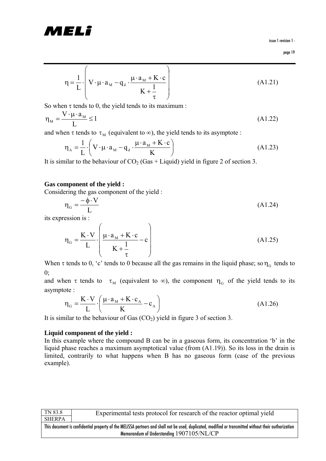# MELi

issue 1 revision 1 -

$$
\text{page 19}
$$

$$
\eta = \frac{1}{L} \cdot \left( V \cdot \mu \cdot a_M - q_d \cdot \frac{\mu \cdot a_M + K \cdot c}{K + \frac{1}{\tau}} \right)
$$
(A1.21)

So when  $\tau$  tends to 0, the yield tends to its maximum :

$$
\eta_{\mathcal{M}} = \frac{\mathbf{V} \cdot \boldsymbol{\mu} \cdot \mathbf{a}_{\mathcal{M}}}{L} \le 1 \tag{A1.22}
$$

and when  $\tau$  tends to  $\tau_M$  (equivalent to  $\infty$ ), the yield tends to its asymptote :

$$
\eta_{A} = \frac{1}{L} \cdot \left( V \cdot \mu \cdot a_{M} - q_{d} \cdot \frac{\mu \cdot a_{M} + K \cdot c}{K} \right)
$$
 (A1.23)

It is similar to the behaviour of  $CO<sub>2</sub>$  (Gas + Liquid) yield in figure 2 of section 3.

#### **Gas component of the yield :**

Considering the gas component of the yield :

$$
\eta_{\rm G} = \frac{-\phi \cdot V}{L} \tag{A1.24}
$$

its expression is :

$$
\eta_{\rm G} = \frac{\mathbf{K} \cdot \mathbf{V}}{\mathbf{L}} \cdot \left( \frac{\mu \cdot a_{\rm M} + \mathbf{K} \cdot \mathbf{c}}{\mathbf{K} + \frac{1}{\tau}} - \mathbf{c} \right) \tag{A1.25}
$$

When  $\tau$  tends to 0, 'c' tends to 0 because all the gas remains in the liquid phase; so  $\eta_G$  tends to  $0$ :

and when  $\tau$  tends to  $\tau_M$  (equivalent to  $\infty$ ), the component  $\eta_G$  of the yield tends to its asymptote :

$$
\eta_{\rm G} = \frac{K \cdot V}{L} \cdot \left(\frac{\mu \cdot a_{\rm M} + K \cdot c_{\rm A}}{K} - c_{\rm A}\right)
$$
 (A1.26)

It is similar to the behaviour of Gas  $(CO<sub>2</sub>)$  yield in figure 3 of section 3.

#### **Liquid component of the yield :**

In this example where the compound B can be in a gaseous form, its concentration 'b' in the liquid phase reaches a maximum asymptotical value (from (A1.19)). So its loss in the drain is limited, contrarily to what happens when B has no gaseous form (case of the previous example).

| TN 83.8                                                                                                                                               | Experimental tests protocol for research of the reactor optimal yield |  |
|-------------------------------------------------------------------------------------------------------------------------------------------------------|-----------------------------------------------------------------------|--|
| <b>SHERPA</b>                                                                                                                                         |                                                                       |  |
| This document is confidential property of the MELISSA partners and shall not be used, duplicated, modified or transmitted without their authorization |                                                                       |  |
| Memorandum of Understanding 1907105/NL/CP                                                                                                             |                                                                       |  |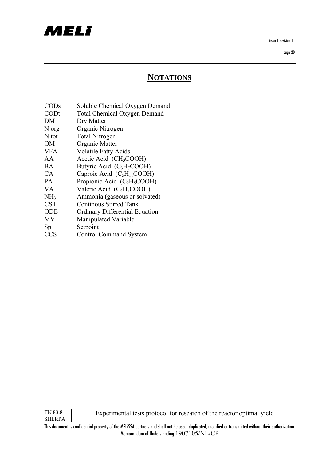# MELI

issue 1 revision 1 -

page 20

## **NOTATIONS**

- CODs Soluble Chemical Oxygen Demand
- CODt Total Chemical Oxygen Demand
- DM Dry Matter
- N org Organic Nitrogen
- N tot Total Nitrogen
- OM Organic Matter
- VFA Volatile Fatty Acids
- AA Acetic Acid (CH<sub>3</sub>COOH)
- $BA$  Butyric Acid (C<sub>3</sub>H<sub>7</sub>COOH)
- $CA$  Caproic Acid (C<sub>5</sub>H<sub>11</sub>COOH)
- $PA$  Propionic Acid (C<sub>2</sub>H<sub>5</sub>COOH)
- VA Valeric Acid (C<sub>4</sub>H<sub>9</sub>COOH)
- NH3 Ammonia (gaseous or solvated)
- CST Continous Stirred Tank
- ODE Ordinary Differential Equation
- MV Manipulated Variable
- Sp Setpoint
- CCS Control Command System

| ĸ.<br>ь<br>H<br>٠ |
|-------------------|

Experimental tests protocol for research of the reactor optimal yield